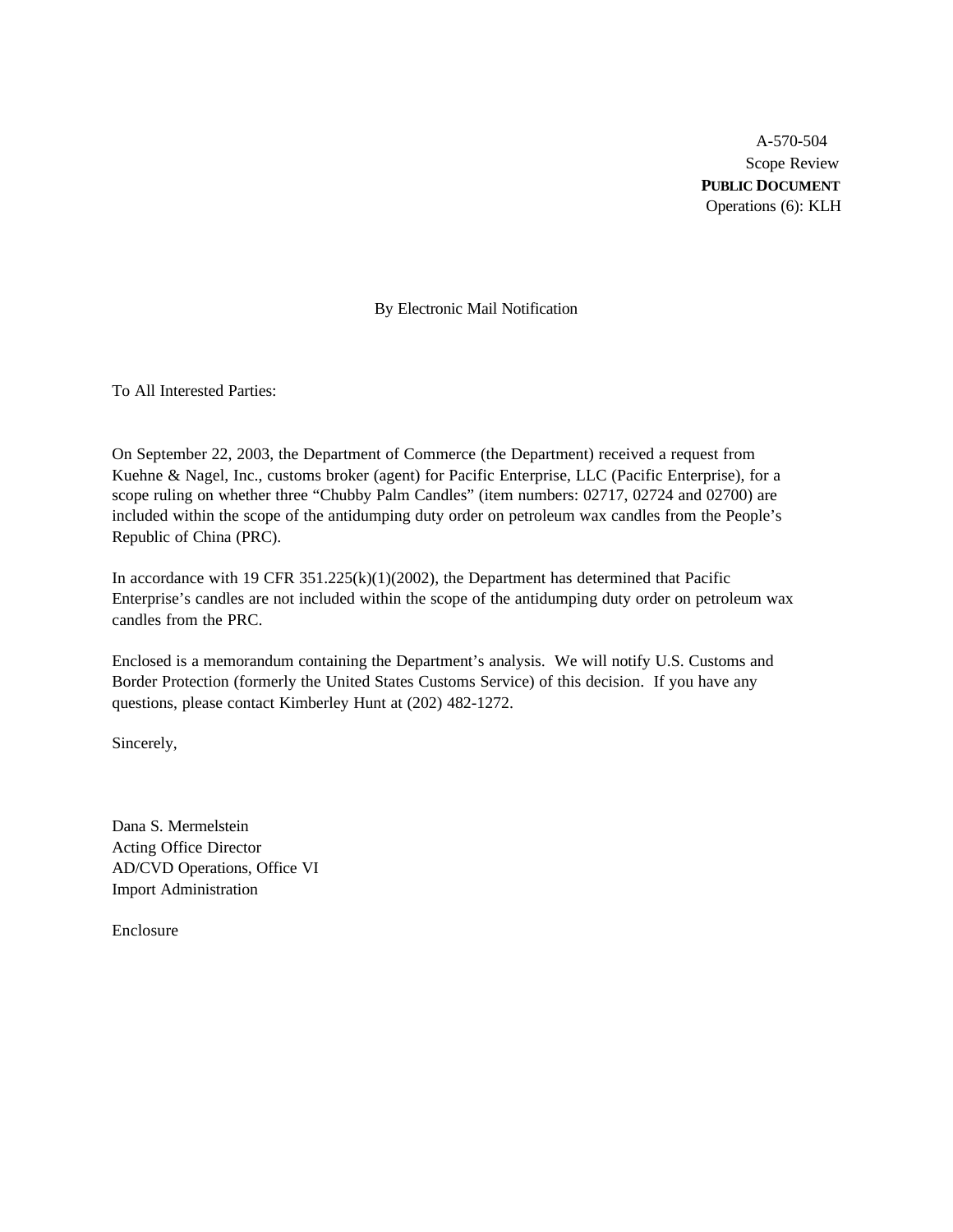A-570-504 Scope Review **PUBLIC DOCUMENT** Operations (6): KLH

By Electronic Mail Notification

To All Interested Parties:

On September 22, 2003, the Department of Commerce (the Department) received a request from Kuehne & Nagel, Inc., customs broker (agent) for Pacific Enterprise, LLC (Pacific Enterprise), for a scope ruling on whether three "Chubby Palm Candles" (item numbers: 02717, 02724 and 02700) are included within the scope of the antidumping duty order on petroleum wax candles from the People's Republic of China (PRC).

In accordance with 19 CFR  $351.225(k)(1)(2002)$ , the Department has determined that Pacific Enterprise's candles are not included within the scope of the antidumping duty order on petroleum wax candles from the PRC.

Enclosed is a memorandum containing the Department's analysis. We will notify U.S. Customs and Border Protection (formerly the United States Customs Service) of this decision. If you have any questions, please contact Kimberley Hunt at (202) 482-1272.

Sincerely,

Dana S. Mermelstein Acting Office Director AD/CVD Operations, Office VI Import Administration

Enclosure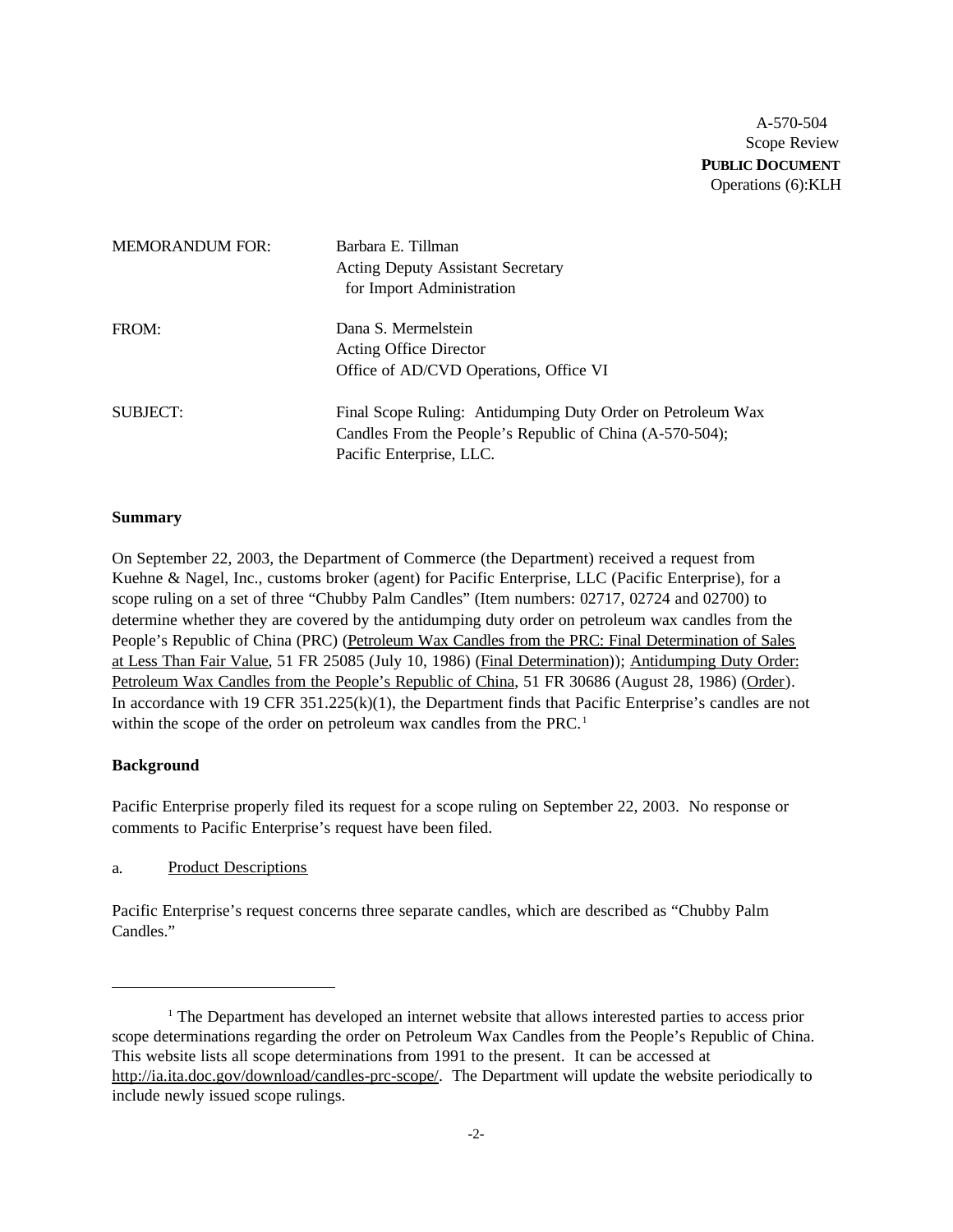A-570-504 Scope Review **PUBLIC DOCUMENT** Operations (6):KLH

| <b>MEMORANDUM FOR:</b> | Barbara E. Tillman<br><b>Acting Deputy Assistant Secretary</b><br>for Import Administration                                                         |
|------------------------|-----------------------------------------------------------------------------------------------------------------------------------------------------|
| FROM:                  | Dana S. Mermelstein<br><b>Acting Office Director</b><br>Office of AD/CVD Operations, Office VI                                                      |
| SUBJECT:               | Final Scope Ruling: Antidumping Duty Order on Petroleum Wax<br>Candles From the People's Republic of China (A-570-504);<br>Pacific Enterprise, LLC. |

#### **Summary**

On September 22, 2003, the Department of Commerce (the Department) received a request from Kuehne & Nagel, Inc., customs broker (agent) for Pacific Enterprise, LLC (Pacific Enterprise), for a scope ruling on a set of three "Chubby Palm Candles" (Item numbers: 02717, 02724 and 02700) to determine whether they are covered by the antidumping duty order on petroleum wax candles from the People's Republic of China (PRC) (Petroleum Wax Candles from the PRC: Final Determination of Sales at Less Than Fair Value, 51 FR 25085 (July 10, 1986) (Final Determination)); Antidumping Duty Order: Petroleum Wax Candles from the People's Republic of China, 51 FR 30686 (August 28, 1986) (Order). In accordance with 19 CFR 351.225(k)(1), the Department finds that Pacific Enterprise's candles are not within the scope of the order on petroleum wax candles from the PRC.<sup>1</sup>

### **Background**

Pacific Enterprise properly filed its request for a scope ruling on September 22, 2003. No response or comments to Pacific Enterprise's request have been filed.

a. Product Descriptions

Pacific Enterprise's request concerns three separate candles, which are described as "Chubby Palm Candles."

<sup>1</sup> The Department has developed an internet website that allows interested parties to access prior scope determinations regarding the order on Petroleum Wax Candles from the People's Republic of China. This website lists all scope determinations from 1991 to the present. It can be accessed at http://ia.ita.doc.gov/download/candles-prc-scope/. The Department will update the website periodically to include newly issued scope rulings.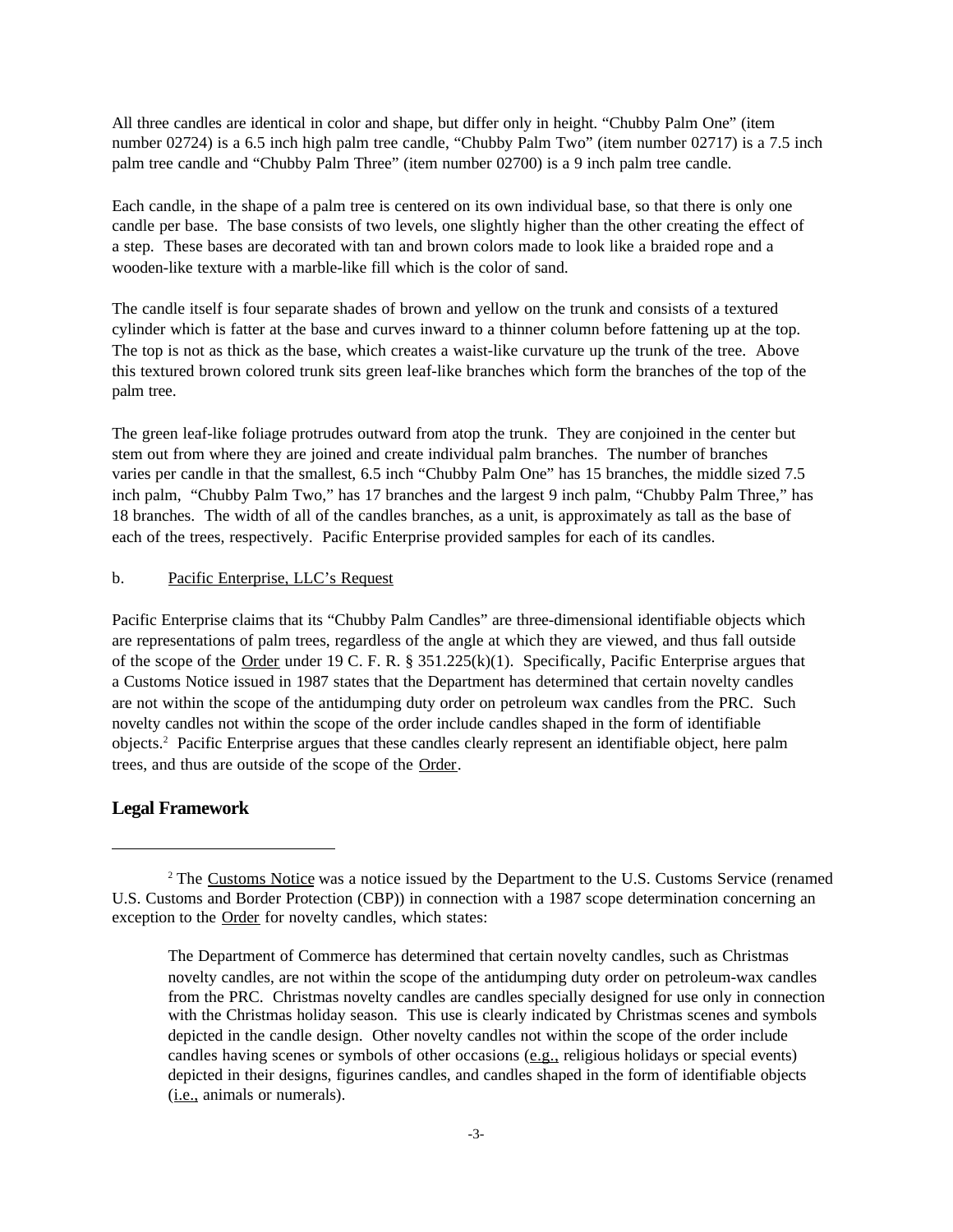All three candles are identical in color and shape, but differ only in height. "Chubby Palm One" (item number 02724) is a 6.5 inch high palm tree candle, "Chubby Palm Two" (item number 02717) is a 7.5 inch palm tree candle and "Chubby Palm Three" (item number 02700) is a 9 inch palm tree candle.

Each candle, in the shape of a palm tree is centered on its own individual base, so that there is only one candle per base. The base consists of two levels, one slightly higher than the other creating the effect of a step. These bases are decorated with tan and brown colors made to look like a braided rope and a wooden-like texture with a marble-like fill which is the color of sand.

The candle itself is four separate shades of brown and yellow on the trunk and consists of a textured cylinder which is fatter at the base and curves inward to a thinner column before fattening up at the top. The top is not as thick as the base, which creates a waist-like curvature up the trunk of the tree. Above this textured brown colored trunk sits green leaf-like branches which form the branches of the top of the palm tree.

The green leaf-like foliage protrudes outward from atop the trunk. They are conjoined in the center but stem out from where they are joined and create individual palm branches. The number of branches varies per candle in that the smallest, 6.5 inch "Chubby Palm One" has 15 branches, the middle sized 7.5 inch palm, "Chubby Palm Two," has 17 branches and the largest 9 inch palm, "Chubby Palm Three," has 18 branches. The width of all of the candles branches, as a unit, is approximately as tall as the base of each of the trees, respectively. Pacific Enterprise provided samples for each of its candles.

#### b. Pacific Enterprise, LLC's Request

Pacific Enterprise claims that its "Chubby Palm Candles" are three-dimensional identifiable objects which are representations of palm trees, regardless of the angle at which they are viewed, and thus fall outside of the scope of the Order under 19 C. F. R. § 351.225(k)(1). Specifically, Pacific Enterprise argues that a Customs Notice issued in 1987 states that the Department has determined that certain novelty candles are not within the scope of the antidumping duty order on petroleum wax candles from the PRC. Such novelty candles not within the scope of the order include candles shaped in the form of identifiable objects.<sup>2</sup> Pacific Enterprise argues that these candles clearly represent an identifiable object, here palm trees, and thus are outside of the scope of the Order.

### **Legal Framework**

<sup>&</sup>lt;sup>2</sup> The Customs Notice was a notice issued by the Department to the U.S. Customs Service (renamed U.S. Customs and Border Protection (CBP)) in connection with a 1987 scope determination concerning an exception to the Order for novelty candles, which states:

The Department of Commerce has determined that certain novelty candles, such as Christmas novelty candles, are not within the scope of the antidumping duty order on petroleum-wax candles from the PRC. Christmas novelty candles are candles specially designed for use only in connection with the Christmas holiday season. This use is clearly indicated by Christmas scenes and symbols depicted in the candle design. Other novelty candles not within the scope of the order include candles having scenes or symbols of other occasions (e.g., religious holidays or special events) depicted in their designs, figurines candles, and candles shaped in the form of identifiable objects (i.e., animals or numerals).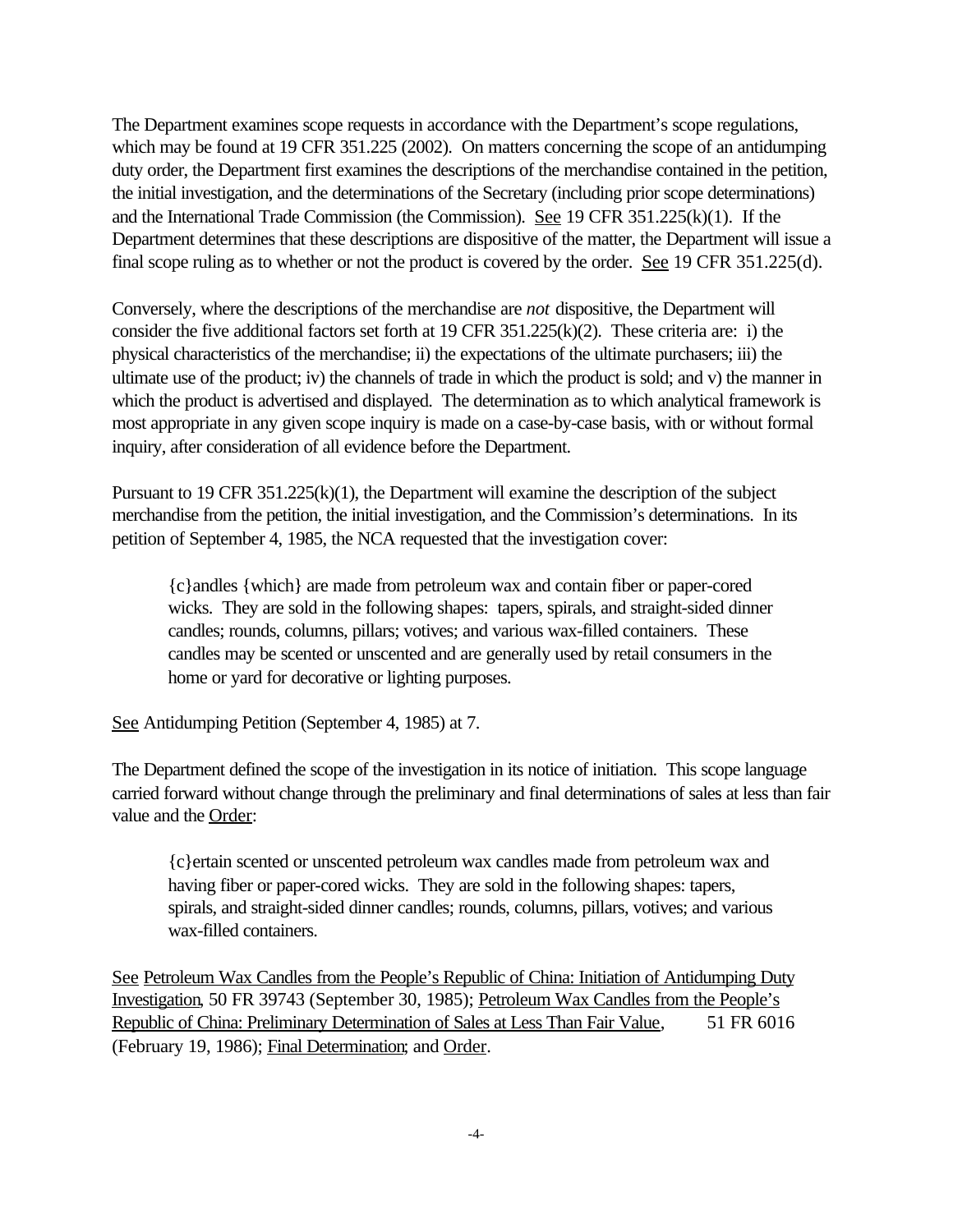The Department examines scope requests in accordance with the Department's scope regulations, which may be found at 19 CFR 351.225 (2002). On matters concerning the scope of an antidumping duty order, the Department first examines the descriptions of the merchandise contained in the petition, the initial investigation, and the determinations of the Secretary (including prior scope determinations) and the International Trade Commission (the Commission). See 19 CFR 351.225(k)(1). If the Department determines that these descriptions are dispositive of the matter, the Department will issue a final scope ruling as to whether or not the product is covered by the order. See 19 CFR 351.225(d).

Conversely, where the descriptions of the merchandise are *not* dispositive, the Department will consider the five additional factors set forth at 19 CFR 351.225(k)(2). These criteria are: i) the physical characteristics of the merchandise; ii) the expectations of the ultimate purchasers; iii) the ultimate use of the product; iv) the channels of trade in which the product is sold; and v) the manner in which the product is advertised and displayed. The determination as to which analytical framework is most appropriate in any given scope inquiry is made on a case-by-case basis, with or without formal inquiry, after consideration of all evidence before the Department.

Pursuant to 19 CFR 351.225(k)(1), the Department will examine the description of the subject merchandise from the petition, the initial investigation, and the Commission's determinations. In its petition of September 4, 1985, the NCA requested that the investigation cover:

{c}andles {which} are made from petroleum wax and contain fiber or paper-cored wicks. They are sold in the following shapes: tapers, spirals, and straight-sided dinner candles; rounds, columns, pillars; votives; and various wax-filled containers. These candles may be scented or unscented and are generally used by retail consumers in the home or yard for decorative or lighting purposes.

See Antidumping Petition (September 4, 1985) at 7.

The Department defined the scope of the investigation in its notice of initiation. This scope language carried forward without change through the preliminary and final determinations of sales at less than fair value and the Order:

{c}ertain scented or unscented petroleum wax candles made from petroleum wax and having fiber or paper-cored wicks. They are sold in the following shapes: tapers, spirals, and straight-sided dinner candles; rounds, columns, pillars, votives; and various wax-filled containers.

See Petroleum Wax Candles from the People's Republic of China: Initiation of Antidumping Duty Investigation, 50 FR 39743 (September 30, 1985); Petroleum Wax Candles from the People's Republic of China: Preliminary Determination of Sales at Less Than Fair Value, 51 FR 6016 (February 19, 1986); Final Determination; and Order.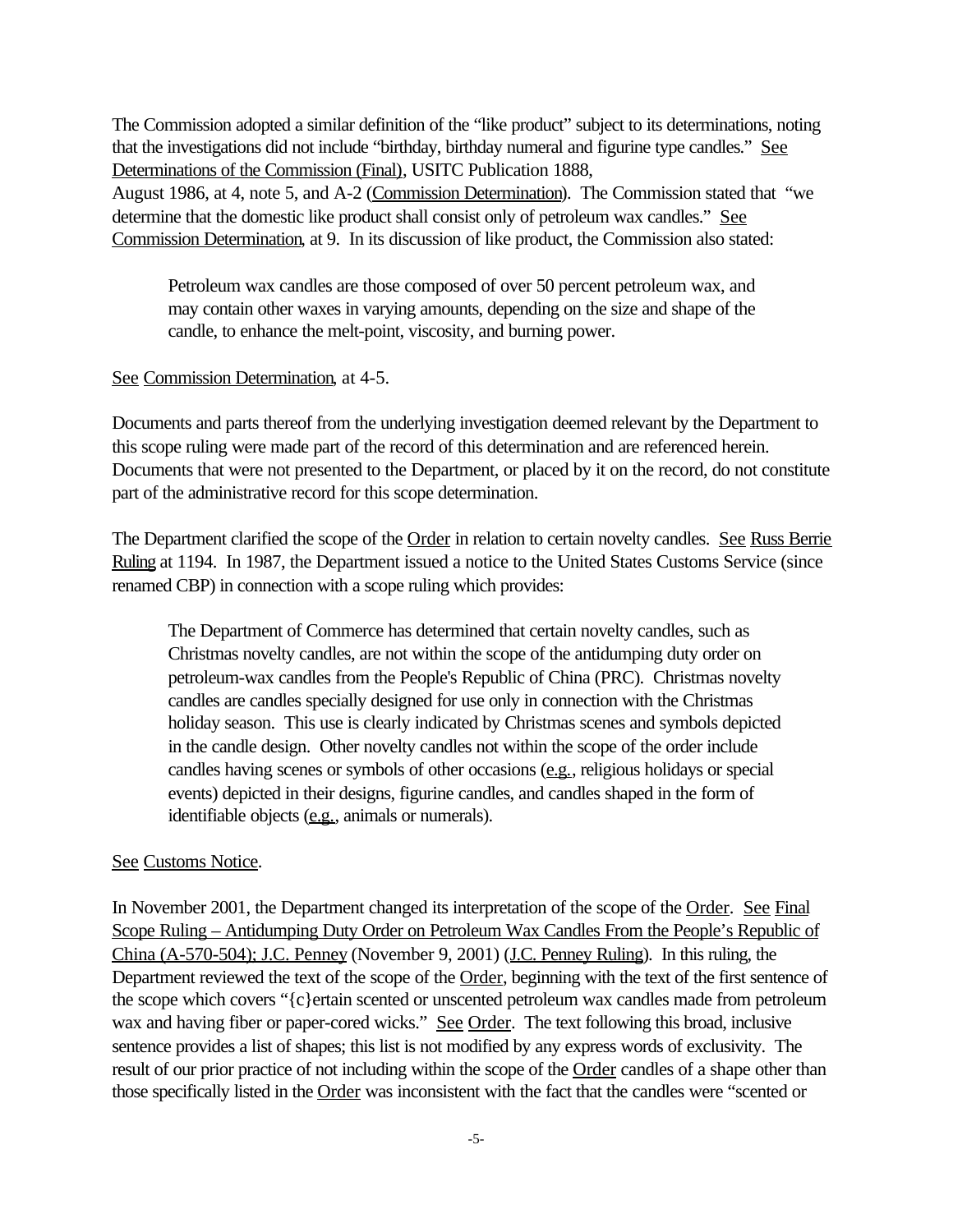The Commission adopted a similar definition of the "like product" subject to its determinations, noting that the investigations did not include "birthday, birthday numeral and figurine type candles." See Determinations of the Commission (Final), USITC Publication 1888,

August 1986, at 4, note 5, and A-2 (Commission Determination). The Commission stated that "we determine that the domestic like product shall consist only of petroleum wax candles." See Commission Determination, at 9. In its discussion of like product, the Commission also stated:

Petroleum wax candles are those composed of over 50 percent petroleum wax, and may contain other waxes in varying amounts, depending on the size and shape of the candle, to enhance the melt-point, viscosity, and burning power.

## See Commission Determination, at 4-5.

Documents and parts thereof from the underlying investigation deemed relevant by the Department to this scope ruling were made part of the record of this determination and are referenced herein. Documents that were not presented to the Department, or placed by it on the record, do not constitute part of the administrative record for this scope determination.

The Department clarified the scope of the Order in relation to certain novelty candles. See Russ Berrie Ruling at 1194. In 1987, the Department issued a notice to the United States Customs Service (since renamed CBP) in connection with a scope ruling which provides:

The Department of Commerce has determined that certain novelty candles, such as Christmas novelty candles, are not within the scope of the antidumping duty order on petroleum-wax candles from the People's Republic of China (PRC). Christmas novelty candles are candles specially designed for use only in connection with the Christmas holiday season. This use is clearly indicated by Christmas scenes and symbols depicted in the candle design. Other novelty candles not within the scope of the order include candles having scenes or symbols of other occasions (e.g., religious holidays or special events) depicted in their designs, figurine candles, and candles shaped in the form of identifiable objects (e.g., animals or numerals).

# See Customs Notice.

In November 2001, the Department changed its interpretation of the scope of the Order. See Final Scope Ruling – Antidumping Duty Order on Petroleum Wax Candles From the People's Republic of China (A-570-504); J.C. Penney (November 9, 2001) (J.C. Penney Ruling). In this ruling, the Department reviewed the text of the scope of the Order, beginning with the text of the first sentence of the scope which covers "{c}ertain scented or unscented petroleum wax candles made from petroleum wax and having fiber or paper-cored wicks." See Order. The text following this broad, inclusive sentence provides a list of shapes; this list is not modified by any express words of exclusivity. The result of our prior practice of not including within the scope of the Order candles of a shape other than those specifically listed in the Order was inconsistent with the fact that the candles were "scented or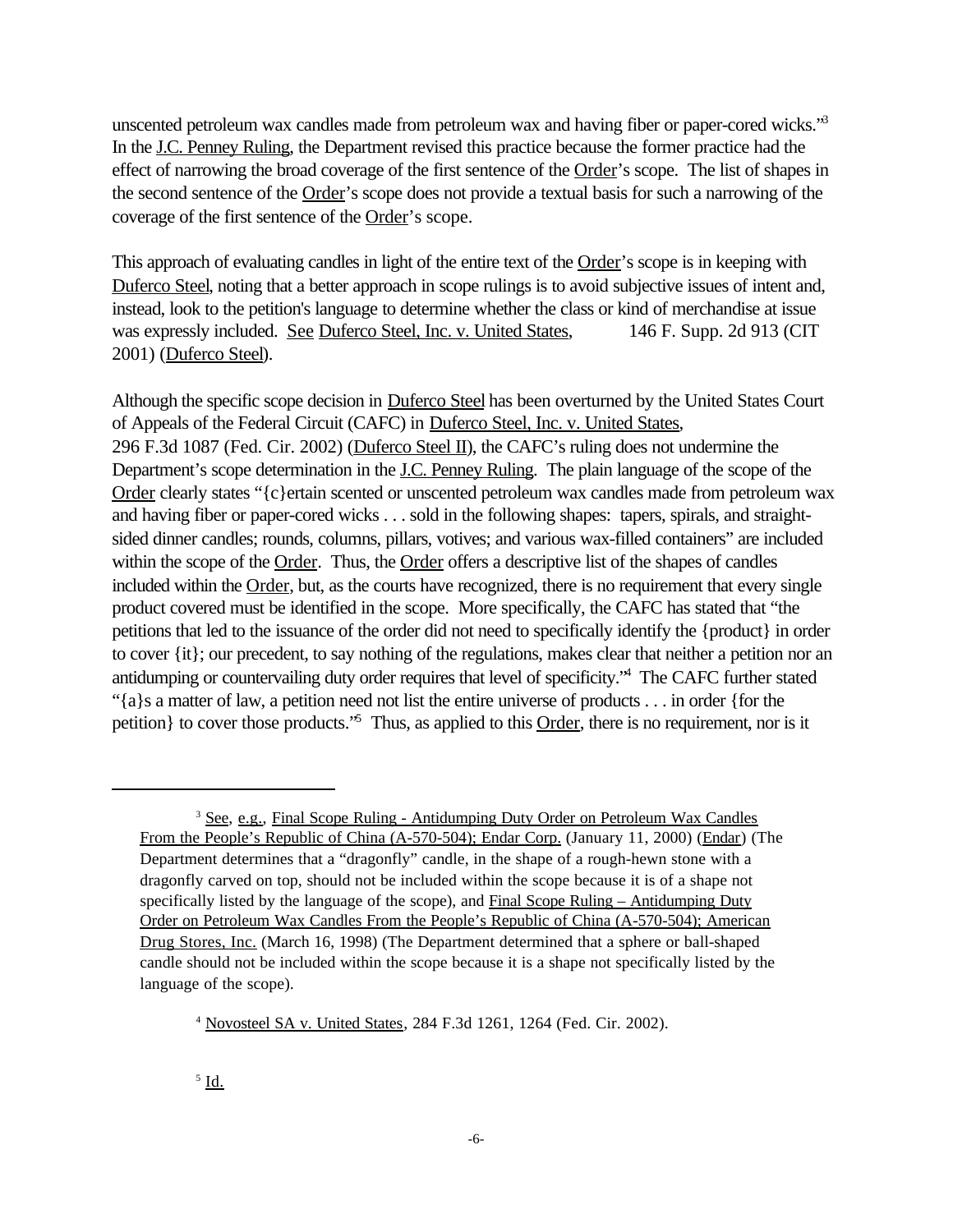unscented petroleum wax candles made from petroleum wax and having fiber or paper-cored wicks."<sup>3</sup> In the J.C. Penney Ruling, the Department revised this practice because the former practice had the effect of narrowing the broad coverage of the first sentence of the Order's scope. The list of shapes in the second sentence of the Order's scope does not provide a textual basis for such a narrowing of the coverage of the first sentence of the Order's scope.

This approach of evaluating candles in light of the entire text of the Order's scope is in keeping with Duferco Steel, noting that a better approach in scope rulings is to avoid subjective issues of intent and, instead, look to the petition's language to determine whether the class or kind of merchandise at issue was expressly included. See Duferco Steel, Inc. v. United States, 146 F. Supp. 2d 913 (CIT 2001) (Duferco Steel).

Although the specific scope decision in Duferco Steel has been overturned by the United States Court of Appeals of the Federal Circuit (CAFC) in Duferco Steel, Inc. v. United States, 296 F.3d 1087 (Fed. Cir. 2002) (Duferco Steel II), the CAFC's ruling does not undermine the Department's scope determination in the <u>J.C. Penney Ruling</u>. The plain language of the scope of the Order clearly states "{c}ertain scented or unscented petroleum wax candles made from petroleum wax and having fiber or paper-cored wicks . . . sold in the following shapes: tapers, spirals, and straightsided dinner candles; rounds, columns, pillars, votives; and various wax-filled containers" are included within the scope of the Order. Thus, the Order offers a descriptive list of the shapes of candles included within the Order, but, as the courts have recognized, there is no requirement that every single product covered must be identified in the scope. More specifically, the CAFC has stated that "the petitions that led to the issuance of the order did not need to specifically identify the {product} in order to cover {it}; our precedent, to say nothing of the regulations, makes clear that neither a petition nor an antidumping or countervailing duty order requires that level of specificity."<sup>4</sup> The CAFC further stated "{a}s a matter of law, a petition need not list the entire universe of products . . . in order {for the petition of to cover those products.<sup>55</sup> Thus, as applied to this Order, there is no requirement, nor is it

<sup>4</sup> Novosteel SA v. United States, 284 F.3d 1261, 1264 (Fed. Cir. 2002).

 $^5$  <u>Id.</u>

<sup>3</sup> See, e.g., Final Scope Ruling - Antidumping Duty Order on Petroleum Wax Candles From the People's Republic of China (A-570-504); Endar Corp. (January 11, 2000) (Endar) (The Department determines that a "dragonfly" candle, in the shape of a rough-hewn stone with a dragonfly carved on top, should not be included within the scope because it is of a shape not specifically listed by the language of the scope), and Final Scope Ruling – Antidumping Duty Order on Petroleum Wax Candles From the People's Republic of China (A-570-504); American Drug Stores, Inc. (March 16, 1998) (The Department determined that a sphere or ball-shaped candle should not be included within the scope because it is a shape not specifically listed by the language of the scope).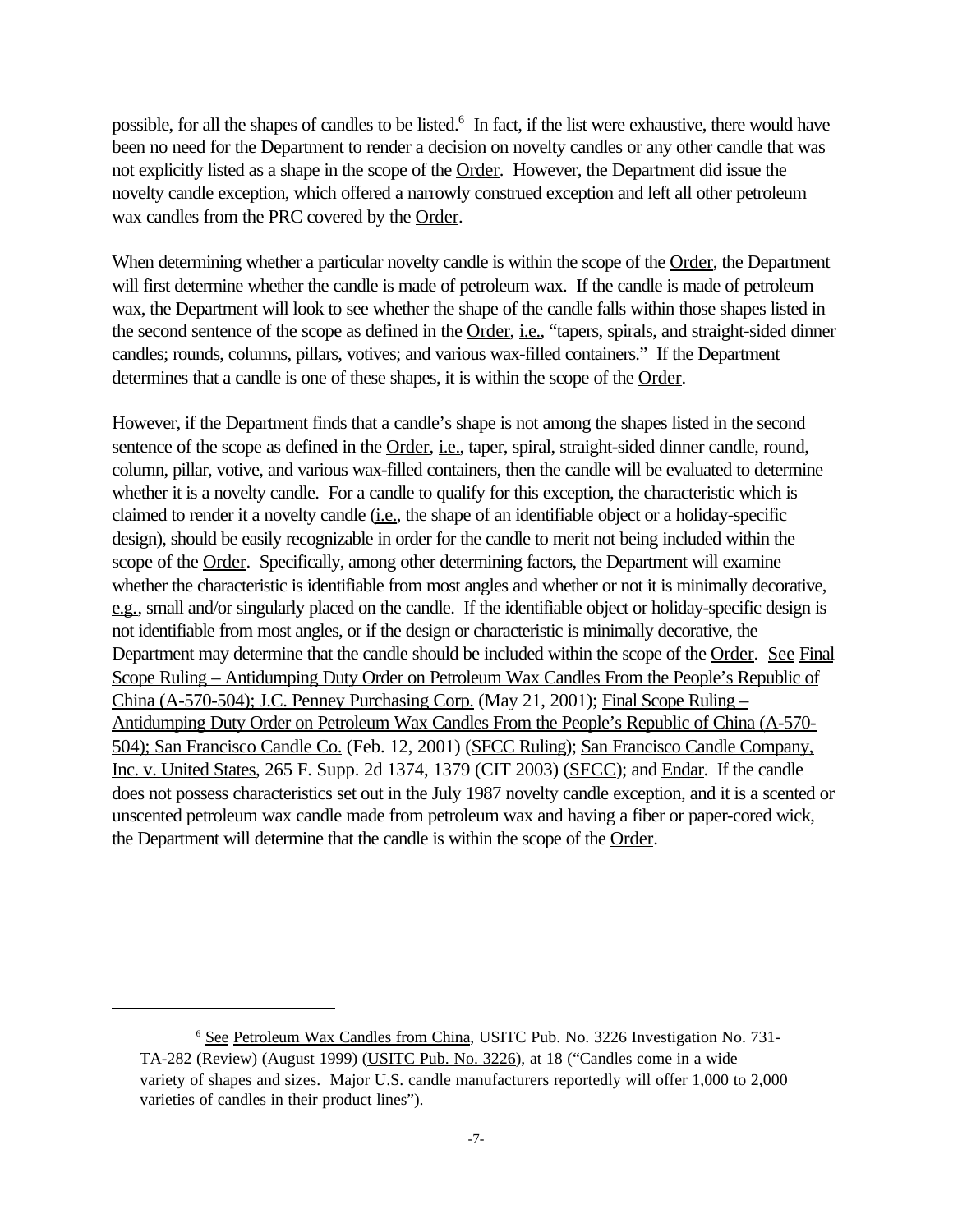possible, for all the shapes of candles to be listed.<sup>6</sup> In fact, if the list were exhaustive, there would have been no need for the Department to render a decision on novelty candles or any other candle that was not explicitly listed as a shape in the scope of the Order. However, the Department did issue the novelty candle exception, which offered a narrowly construed exception and left all other petroleum wax candles from the PRC covered by the Order.

When determining whether a particular novelty candle is within the scope of the Order, the Department will first determine whether the candle is made of petroleum wax. If the candle is made of petroleum wax, the Department will look to see whether the shape of the candle falls within those shapes listed in the second sentence of the scope as defined in the Order, *i.e.*, "tapers, spirals, and straight-sided dinner candles; rounds, columns, pillars, votives; and various wax-filled containers." If the Department determines that a candle is one of these shapes, it is within the scope of the Order.

However, if the Department finds that a candle's shape is not among the shapes listed in the second sentence of the scope as defined in the Order, i.e., taper, spiral, straight-sided dinner candle, round, column, pillar, votive, and various wax-filled containers, then the candle will be evaluated to determine whether it is a novelty candle. For a candle to qualify for this exception, the characteristic which is claimed to render it a novelty candle (i.e., the shape of an identifiable object or a holiday-specific design), should be easily recognizable in order for the candle to merit not being included within the scope of the Order. Specifically, among other determining factors, the Department will examine whether the characteristic is identifiable from most angles and whether or not it is minimally decorative, e.g., small and/or singularly placed on the candle. If the identifiable object or holiday-specific design is not identifiable from most angles, or if the design or characteristic is minimally decorative, the Department may determine that the candle should be included within the scope of the Order. See Final Scope Ruling – Antidumping Duty Order on Petroleum Wax Candles From the People's Republic of China (A-570-504); J.C. Penney Purchasing Corp. (May 21, 2001); Final Scope Ruling – Antidumping Duty Order on Petroleum Wax Candles From the People's Republic of China (A-570- 504); San Francisco Candle Co. (Feb. 12, 2001) (SFCC Ruling); San Francisco Candle Company, Inc. v. United States, 265 F. Supp. 2d 1374, 1379 (CIT 2003) (SFCC); and Endar. If the candle does not possess characteristics set out in the July 1987 novelty candle exception, and it is a scented or unscented petroleum wax candle made from petroleum wax and having a fiber or paper-cored wick, the Department will determine that the candle is within the scope of the Order.

<sup>6</sup> See Petroleum Wax Candles from China, USITC Pub. No. 3226 Investigation No. 731- TA-282 (Review) (August 1999) (USITC Pub. No. 3226), at 18 ("Candles come in a wide variety of shapes and sizes. Major U.S. candle manufacturers reportedly will offer 1,000 to 2,000 varieties of candles in their product lines").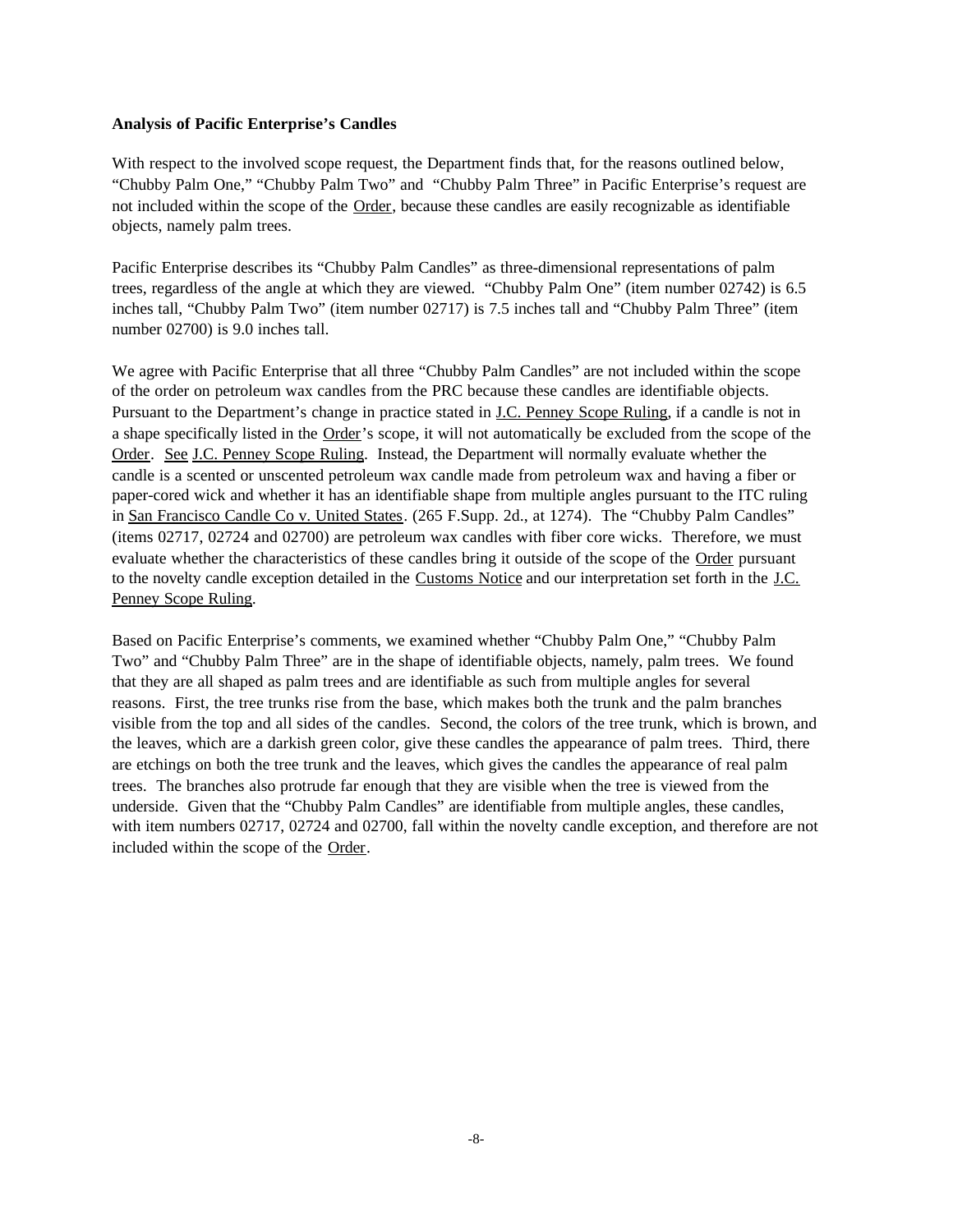### **Analysis of Pacific Enterprise's Candles**

With respect to the involved scope request, the Department finds that, for the reasons outlined below, "Chubby Palm One," "Chubby Palm Two" and "Chubby Palm Three" in Pacific Enterprise's request are not included within the scope of the Order, because these candles are easily recognizable as identifiable objects, namely palm trees.

Pacific Enterprise describes its "Chubby Palm Candles" as three-dimensional representations of palm trees, regardless of the angle at which they are viewed. "Chubby Palm One" (item number 02742) is 6.5 inches tall, "Chubby Palm Two" (item number 02717) is 7.5 inches tall and "Chubby Palm Three" (item number 02700) is 9.0 inches tall.

We agree with Pacific Enterprise that all three "Chubby Palm Candles" are not included within the scope of the order on petroleum wax candles from the PRC because these candles are identifiable objects. Pursuant to the Department's change in practice stated in J.C. Penney Scope Ruling, if a candle is not in a shape specifically listed in the Order's scope, it will not automatically be excluded from the scope of the Order. See J.C. Penney Scope Ruling. Instead, the Department will normally evaluate whether the candle is a scented or unscented petroleum wax candle made from petroleum wax and having a fiber or paper-cored wick and whether it has an identifiable shape from multiple angles pursuant to the ITC ruling in San Francisco Candle Co v. United States. (265 F.Supp. 2d., at 1274). The "Chubby Palm Candles" (items 02717, 02724 and 02700) are petroleum wax candles with fiber core wicks. Therefore, we must evaluate whether the characteristics of these candles bring it outside of the scope of the Order pursuant to the novelty candle exception detailed in the Customs Notice and our interpretation set forth in the J.C. Penney Scope Ruling.

Based on Pacific Enterprise's comments, we examined whether "Chubby Palm One," "Chubby Palm Two" and "Chubby Palm Three" are in the shape of identifiable objects, namely, palm trees. We found that they are all shaped as palm trees and are identifiable as such from multiple angles for several reasons. First, the tree trunks rise from the base, which makes both the trunk and the palm branches visible from the top and all sides of the candles. Second, the colors of the tree trunk, which is brown, and the leaves, which are a darkish green color, give these candles the appearance of palm trees. Third, there are etchings on both the tree trunk and the leaves, which gives the candles the appearance of real palm trees. The branches also protrude far enough that they are visible when the tree is viewed from the underside. Given that the "Chubby Palm Candles" are identifiable from multiple angles, these candles, with item numbers 02717, 02724 and 02700, fall within the novelty candle exception, and therefore are not included within the scope of the Order.